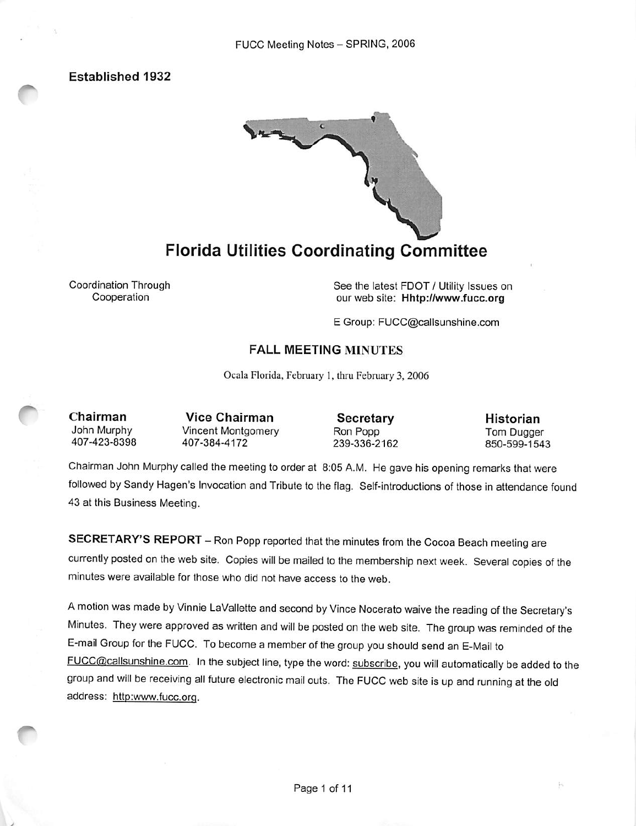Established 1932



# Florida Utilities Coordinating Committee

Coordination Through Cooperation

See the latest FDOT / Utility Issues on our web site: Hhtp://www.fucc.org

E Group: FUCC@callsunshine.com

### FALL MEETING MINUTES

Ocala Florida, February 1, thru February 3, 2006

Chairman John Murphy 407-423-8398

Vice Chairman Vincent Montgomery 407-384-4172

Secretary Ron Popp 239-336-2162

Historian Tom Dugger 850-599-1543

p,

Chairman John Murphy called the meeting to order at 8:05 A.M. He gave his opening remarks that were followed by Sandy Hagen's invocation and Tribute to the flag. Self-introductions of those in attendance found 43 at this Business Meeting.

SECRETARY'S REPORT - Ron Popp reported that the minutes from the Cocoa Beach meeting are currently posted on the web site. Copies will be mailed to the membership next week. Several copies of the minutes were available for those who did not have access to the web.

A motion was made by Vinnie LaVallette and second by Vince Nocerato waive the reading of the Secretary's Minutes. They were approved as written and will be posted on the web site. The group was reminded of the E-mail Group for the FUCC. To become a member of the group you should send an E-Mail to FUCC@cailsunshine.com. in the subject line, type the word: subscribe, you will automatically be added to the group and will be receiving ail future electronic mail outs. The FUCC web site is up and running at the old address: http:www.fucc.org.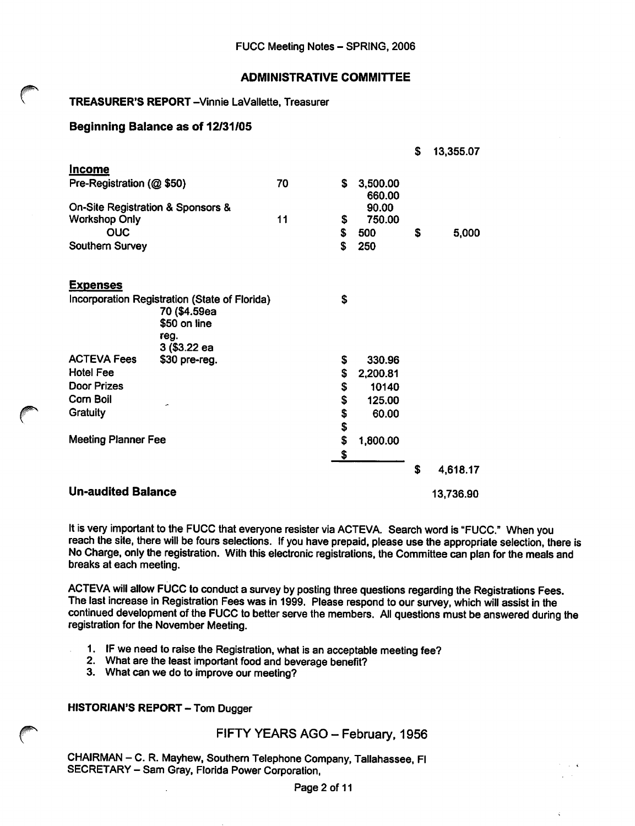### ADMINISTRATIVE COMMITTEE

### TREASURER'S REPORT-Vinnie LaVallette, Treasurer

### Beginning Balance as of 12/31/05

|                                   |                                                                                                       |    |    |                    | \$        | 13,355.07 |
|-----------------------------------|-------------------------------------------------------------------------------------------------------|----|----|--------------------|-----------|-----------|
| <b>Income</b>                     |                                                                                                       |    |    |                    |           |           |
| Pre-Registration (@ \$50)         |                                                                                                       | 70 | S  | 3,500.00<br>660.00 |           |           |
| On-Site Registration & Sponsors & |                                                                                                       |    |    | 90.00              |           |           |
| <b>Workshop Only</b>              |                                                                                                       | 11 | \$ | 750.00             |           |           |
| <b>OUC</b>                        |                                                                                                       |    | \$ | 500                | \$        | 5,000     |
| Southern Survey                   |                                                                                                       |    | \$ | 250                |           |           |
| <u>Expenses</u>                   |                                                                                                       |    |    |                    |           |           |
|                                   | Incorporation Registration (State of Florida)<br>70 (\$4.59ea<br>\$50 on line<br>reg.<br>3 (\$3.22 ea |    | S  |                    |           |           |
| <b>ACTEVA Fees</b>                | \$30 pre-reg.                                                                                         |    | \$ | 330.96             |           |           |
| <b>Hotel Fee</b>                  |                                                                                                       |    | \$ | 2,200.81           |           |           |
| <b>Door Prizes</b>                |                                                                                                       |    | \$ | 10140              |           |           |
| <b>Corn Boil</b>                  |                                                                                                       |    | \$ | 125.00             |           |           |
| Gratuity                          |                                                                                                       |    | \$ | 60.00              |           |           |
|                                   |                                                                                                       |    | \$ |                    |           |           |
| <b>Meeting Planner Fee</b>        |                                                                                                       |    | \$ | 1,800.00           |           |           |
|                                   |                                                                                                       |    | \$ |                    |           |           |
|                                   |                                                                                                       |    |    |                    | S         | 4,618.17  |
| <b>Un-audited Balance</b>         |                                                                                                       |    |    |                    | 13,736.90 |           |

It is very important to the FUCC that everyone resister via ACTEVA. Search word is "FUCC." When you reach the site, there will be fours selections. If you have prepaid, please use the appropriate selection, there is No Charge, only the registration. With this electronic registrations, the Committee can plan for the meals and breaks at each meeting.

ACTEVA will allow FUCC to conduct a survey by posting three questions regarding the Registrations Fees. The last increase in Registration Fees was in 1999. Please respond to our survey, which will assist in the continued development of the FUCC to better serve the members. All questions must be answered during the registration for the November Meeting.

- 1. IF we need to raise the Registration, what is an acceptable meeting fee?
- 2. What are the least important food and beverage benefit?
- 3. What can we do to improve our meeting?

HISTORIAN'S REPORT - Tom Dugger

### FIFTY YEARS AGO - February, 1956

CHAIRMAN - C. R. Mayhew, Southern Telephone Company, Tallahassee, Fl SECRETARY - Sam Gray, Florida Power Corporation,

Page 2 of 11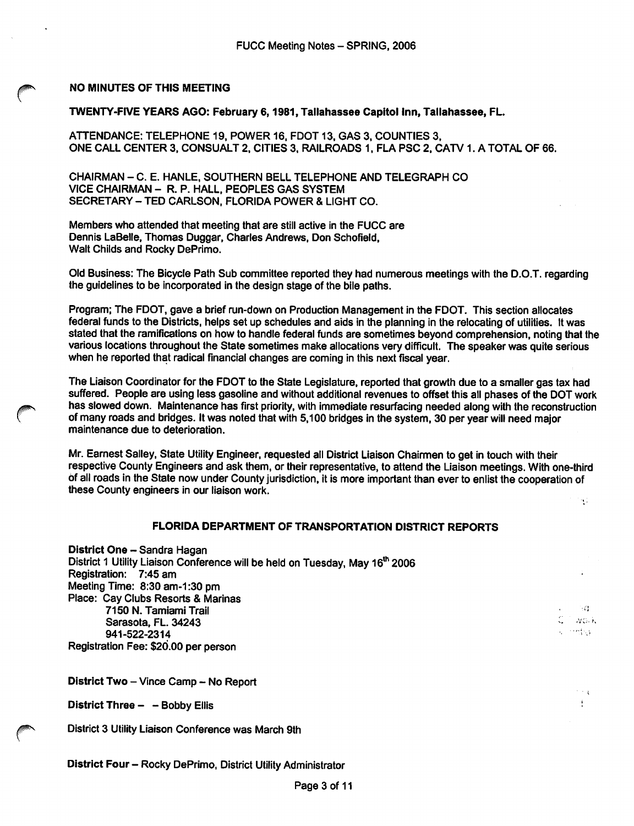### NO MINUTES OF THIS MEETING

### TWENTY-FIVE YEARS AGO: February 6,1981, Tallahassee Capitol Inn, Tallahassee, FL.

ATTENDANCE: TELEPHONE 19, POWER 16. FOOT 13, GAS 3, COUNTIES 3, ONE CALL CENTER 3, CONSUALT 2, CITIES 3. RAILROADS 1, FLA PSC 2, CATV 1. A TOTAL OF 66.

CHAIRMAN - C. E. HANLE, SOUTHERN BELL TELEPHONE AND TELEGRAPH CO VICE CHAIRMAN - R. P. HALL, PEOPLES GAS SYSTEM SECRETARY - TED CARLSON, FLORIDA POWER & LIGHT CO.

Members who attended that meeting that are still active in the FUCC are Dennis LaBelle, Thomas Duggar, Charles Andrews, Don Schofleld, Walt Childs and Rocky DePrimo.

Old Business: The Bicycle Path Sub committee reported they had numerous meetings with the D.O.T. regarding the guideiines to be incorporated in the design stage of the biie paths.

Program; The FDOT, gave a brief run-down on Production Management in the FDOT. This section allocates federal funds to the Districts, helps set up schedules and aids in the planning in the relocating of utilities. It was stated that the ramifications on how to handle federal funds are sometimes beyond comprehension, noting that the various locations throughout the State sometimes make ailocations very difficult. The speaker was quite serious when he reported that radical financial changes are coming in this next fiscal year.

The Liaison Coordinator for the FDOT to the State Legislature, reported that growth due to a smaller gas tax had suffered. People are using less gasoline and without additional revenues to offset this all phases of the DOT work has slowed down. Maintenance has first priority, with immediate resurfacing needed along with the reconstruction of many roads and bridges. It was noted that with 5,100 bridges in the system, 30 per year will need major maintenance due to deterioration.

Mr. Eamest Sailey, State Utiiity Engineer, requested ali District Liaison Chairmen to get in touch with their respective County Engineers and ask them, or their representative, to attend the Liaison meetings. With one-third of all roads in the State now under County jurisdiction, it is more important than ever to enlist the cooperation of these County engineers in our liaison work.

91

 $\sim$   $^{-1}$ 

### FLORIDA DEPARTMENT OF TRANSPORTATION DISTRICT REPORTS

District One - Sandra Hagan District 1 Utility Liaison Conference will be held on Tuesday, May 16<sup>th</sup> 2006 Registration: 7:45 am Meeting Time: 8:30 am-1:30 pm Place: Cay Clubs Resorts & Marinas 7150 N. TamiamI Traii ' Sarasota, FL. 34243 - • 941-522-2314 Registration Fee: \$20.00 per person

District Two - Vince Camp - No Report

District Three - - Bobby Ellis  $\mathcal{L} = \mathcal{L}$ 

District 3 Utility Liaison Conference was March 9th

District Four - Rocky DePrimo, District Utility Administrator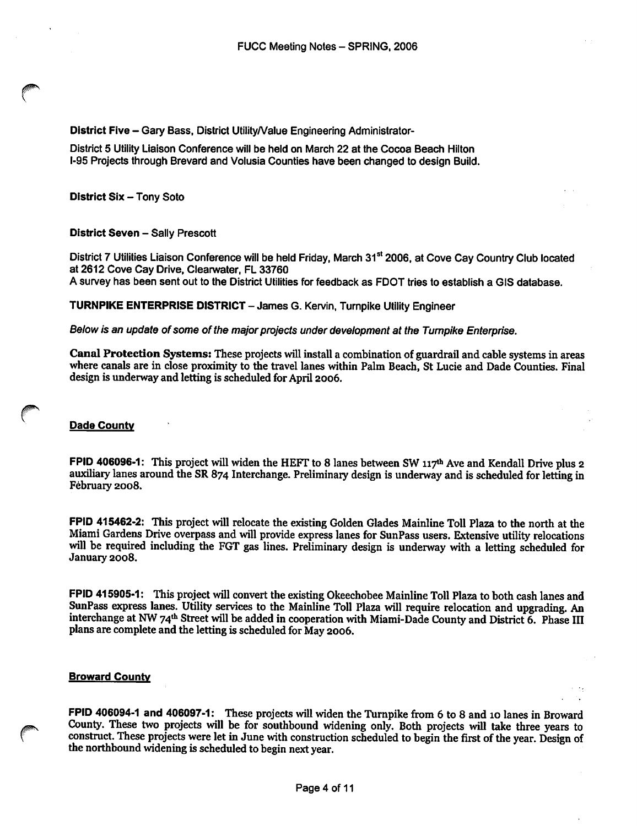District Five - Gary Bass, District Utility/Value Engineering Administrator-

District 5 Utility Liaison Conference will be held on March 22 at the Cocoa Beach Hilton i-95 Projects through Brevard and Voiusia Counties have been changed to design Build.

District Six - Tony Soto

### District Seven - Sally Prescott

District 7 Utilities Liaison Conference will be held Friday, March 31<sup>st</sup> 2006, at Cove Cay Country Club located at 2612 Cove Cay Drive, Ciearwater, FL 33760

A survey has been sent out to the District Utilities for feedback as FDOT tries to establish a GiS database.

### TURNPIKE ENTERPRISE DISTRICT -James G. Kervin, Turnpike Utility Engineer

Below is an update of some of the major projects under development at the Tumpike Enterprise.

Canal Protection Systems: These projects will install a combination of guardrail and cable systems in areas where canals are in close proximity to the travel lanes within Palm Beach, St Lucie and Dade Counties. Final design is underway and letting is scheduled for April 2006.

### Dade Countv

FPID 406096-1: This project will widen the HEFT to 8 lanes between SW 117<sup>th</sup> Ave and Kendall Drive plus 2 auxiliary lanes around the SR 874 Interchange. Preliminary design is underway and is scheduled for letting in February 2008.

FPID 415462-2; This project will relocate the existing Golden Glades Mainline Toll Plaza to the north at the Miami Gardens Drive overpass and will provide express lanes for SunPass users. Extensive utility relocations will be required including the FGT gas lines. Preliminary design is underway with a letting scheduled for January 2008.

FPID 415905-1: This project will convert the existing Okeechobee Mainline Toll Plaza to both cash lanes and SunPass express lanes. Utility services to the Mainline Toll Plaza will require relocation and upgrading. An interchange at NW 74<sup>th</sup> Street will be added in cooperation with Miami-Dade County and District 6. Phase III plans are complete and the letting is scheduled for May 2006.

### Broward Countv

FPID 406094-1 and 406097-1: These projects will widen the Turnpike from 6 to 8 and 10 lanes in Broward County. These two projects will be for southbound widening only. Both projects will take three years to construct. These projects were let in June with construction scheduled to begin the first of the year. Design of the northbound widening is scheduled to begin next year.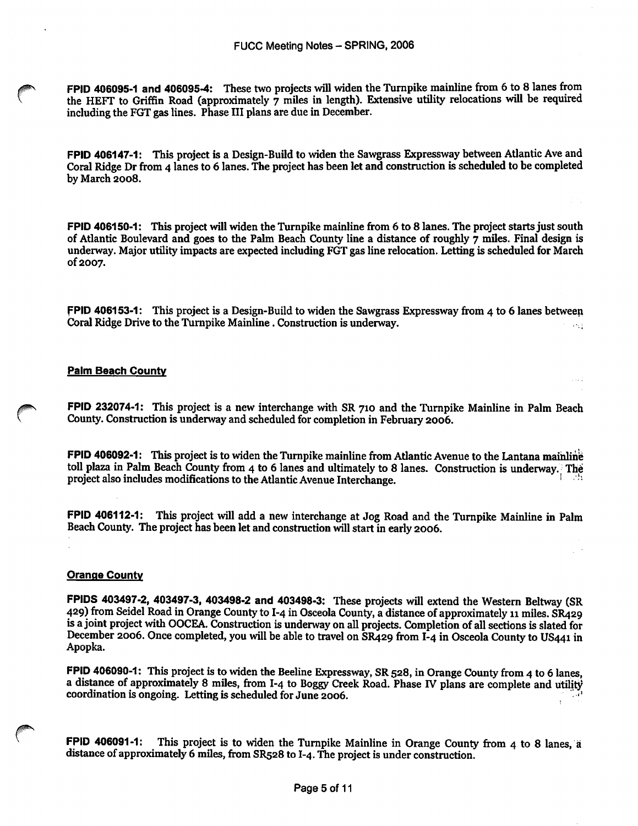FPID 406095-1 and 406095-4: These two projects will widen the Turnpike mainline from 6 to 8 lanes from the HEFT to Griffin Road (approximately 7 miles in length). Extensive utility relocations will be required including the FGT gas lines. Phase III plans are due in December.

FPID 406147-1: This project is a Design-Build to widen the Sawgrass Expressway between Atlantic Ave and Coral Ridge Dr from 4 lanes to 6 lanes. The project has been let and construction is scheduled to be completed by March 2008.

FPID 406150-1: This project will widen the Turnpike mainline from 6 to 8 lanes. The project starts just south of Atlantic Boulevard and goes to the Palm Beach County line a distance of roughly  $\tau$  miles. Final design is underway. Major utility impacts are expected including FGT gas line relocation. Letting is scheduled for March of 2007.

FPID 406153-1: This project is a Design-Build to widen the Sawgrass Expressway from 4 to 6 lanes betweep Coral Ridge Drive to the Turnpike Mainline. Construction is underway. s in de

### **Palm Beach County**

FPID 232074-1: This project is a new interchange with SR 710 and the Turnpike Mainline in Palm Beach County. Construction is underway and scheduled for completion in February 2006.

FPID 406092-1: This project is to widen the Turnpike mainline from Atlantic Avenue to the Lantana maihlihe toll plaza in Palm Beach County from 4 to 6 lanes and ultimately to 8 lanes. Construction is underway. The project also includes modifications to the Atlantic Avenue Interchange.

FPID 406112-1: This project will add a new interchange at Jog Road and the Turnpike Mainline in Palm Beach County. The project has been let and construction will start in early 2006.

#### Orange Countv

FPIDS 403497-2, 403497-3, 403498-2 and 403498-3: These projects will extend the Western Beltway (SR 429) from Seidel Road in Orange County to I-4 in Osceola County, a distance of approximately 11 miles. SR429 is a joint project with OOCEA. Construction is underway on all projects. Completion of all sections is slated for December 2006. Once completed, you will be able to travel on SR429 from I-4 in Osceola County to US441 in Apopka.

FPID 406090-1: This project is to widen the Beeline Expressway, SR 528, in Orange County from 4 to 6 lanes, a distance of approximately 8 miles, from I-4 to Boggy Creek Road. Phase IV plans are complete and utility coordination is ongoing. Letting is scheduled for June 2006.

FPID 406091-1: This project is to widen the Turnpike Mainline in Orange County from 4 to 8 lanes, a distance of approximately 6 miles, from SR528 to I-4. The project is under construction.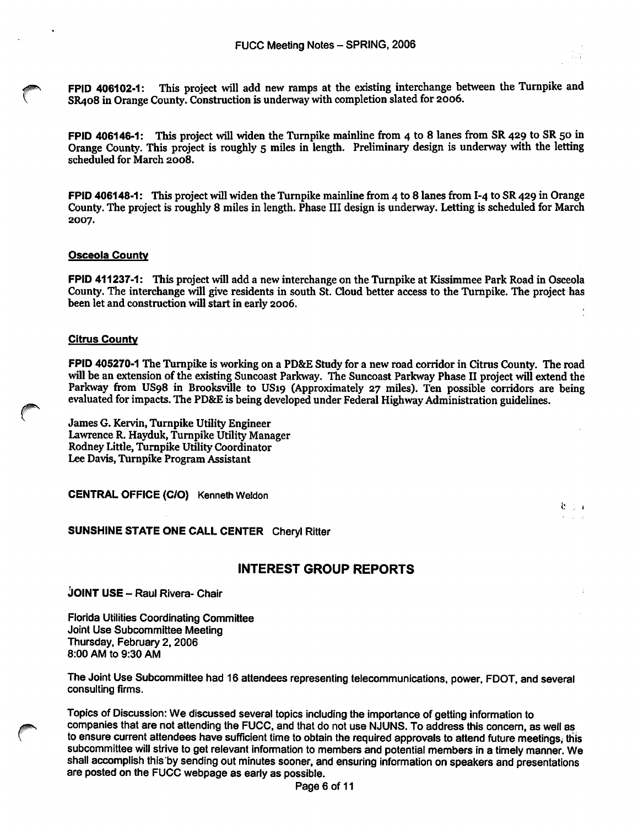FPID 406102-1: This project will add new ramps at the existing interchange between the Turnpike and SR408 in Orange County. Construction is underway with completion slated for 2006.

FPID 406146-1: This project will widen the Turnpike mainline from 4 to 8 lanes from SR 429 to SR 50 in Orange County. This project is roughly 5 miles in length. Preliminary design is underway with the letting scheduled for March 2008.

FPID 406148-1: This project will widen the Turnpike mainline from 4 to 8 lanes from I-4 to SR 429 in Orange County. The project is roughly 8 miles in length. Phase III design is underway. Letting is scheduled for March 2007.

### Osceola County

FPID 411237-1: This project will add a new interchange on the Turnpike at Kissimmee Park Road in Osceola County. The interchange will give residents in south St. Cloud better access to the Turnpike. The project has been let and construction will start in early 2006.

### **Citrus County**

FPID 405270-1 The Turnpike is working on a PD&E Study for a new road corridor in Citrus County. The road will be an extension of the existing Suncoast Parkway. The Suncoast Parkway Phase II project will extend the Parkway from US98 in Brooksville to US19 (Approximately 27 miles). Ten possible corridors are being evaluated for impacts. The PD&E is being developed under Federal Highway Administration guidelines.

James G. Kervin, Turnpike Utility Engineer Lawrence R. Hayduk, Turnpike Utility Manager Rodney Little, Turnpike Utility Coordinator Lee Davis, Turnpike Program Assistant

CENTRAL OFFICE (C/O) Kenneth Weldon

### SUNSHINE STATE ONE CALL CENTER Cheryl Ritter

### INTEREST GROUP REPORTS

 $k \geqslant i$ 

JOINT USE - Raul Rivera- Chair

Florida Utilities Coordinating Committee Joint Use Subcommittee Meeting Thursday, February 2, 2006 8:00 AM to 9:30 AM

The Joint Use Subcommittee had 16 attendees representing telecommunications, power, FDOT, and several consulting firms.

Topics of Discussion: We discussed several topics including the importance of getting information to companies that are not attending the FUCC, and that do not use NJUNS. To address this concern, as well as to ensure current attendees have sufficient time to obtain the required approvals to attend future meetings, this subcommittee will strive to get relevant information to members and potential members in a timely manner. We shall accomplish this by sending out minutes sooner, and ensuring information on speakers and presentations are posted on the FUCC webpage as early as possible.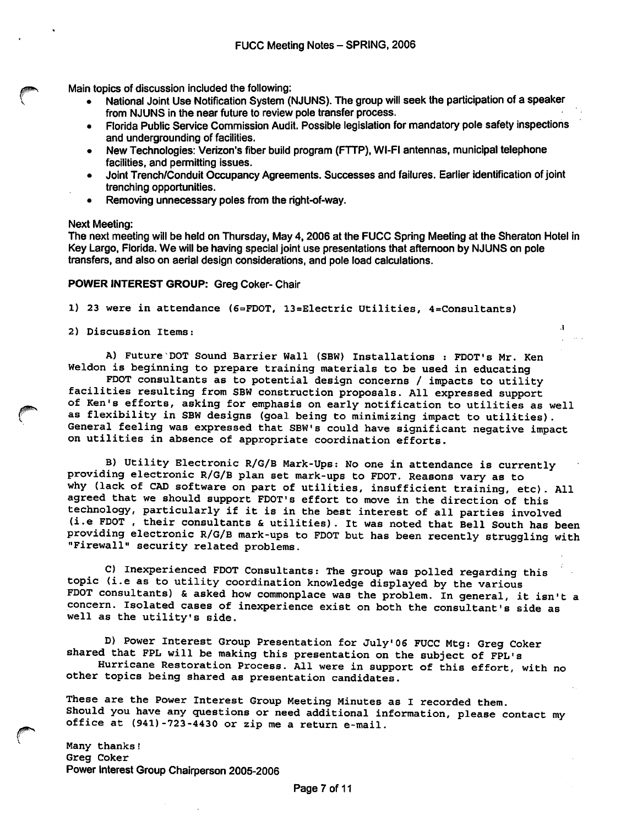Main topics of discussion included the following:

- National Joint Use Notification System (NJUNS). The group will seek the participation of a speaker from NJUNS in the near future to review pole transfer process.
- Florida Public Service Commission Audit. Possible legislation for mandatory pole safety inspections and undergrounding of facilities.
- New Technologies: Verizon's fiber build program (FTTP), WI-FI antennas, municipal telephone facilities, and permitting issues.
- Joint Trench/Conduit Occupancy Agreements. Successes and failures. Earlier identification of joint trenching opportunities.
- Removing unnecessary poles from the right-of-way.

#### Next Meeting:

The next meeting will be held on Thursday, May 4,2006 at the FUCC Spring Meeting at the Sheraton Hotel in Key Largo, Florida. We will be having special joint use presentations that afternoon by NJUNS on pole transfers, and also on aerial design considerations, and pole load calculations.

#### POWER INTEREST GROUP: Greg Coker- Chair

1) 23 were in attendance (6=FD0T, 13=Electric Utilities, 4=Consultants)

2) Discussion Items:

A) Future DOT Sound Barrier Wall (SBW) Installations : FDOT's Mr. Ken Weldon is beginning to prepare training materials to be used in educating

FDOT consultants as to potential design concerns / impacts to utility facilities resulting from SEW construction proposals. All expressed support of Ken's efforts, asking for emphasis on early notification to utilities as well as flexibility in SEW designs (goal being to minimizing impact to utilities). General feeling was expressed that SEW's could have significant negative impact on utilities in absence of appropriate coordination efforts.

B) Utility Electronic R/G/E Mark-Ups: No one in attendance is currently providing electronic R/G/B plan set mark-ups to FDOT. Reasons vary as to why (lack of CAD software on part of utilities, insufficient training, etc). All agreed that we should support FDOT's effort to move in the direction of this technology, particularly if it is in the best interest of all parties involved (i.e FDOT , their consultants & utilities). It was noted that Bell South has been Providing electronic R/G/E mark-ups to FDOT but has been recently struggling with "Firewall" security related problems.

C) Inexperienced FDOT Consultants: The group was polled regarding this topic (i.e as to utility coordination knowledge displayed by the various FDOT consultants) & asked how commonplace was the problem. In general, it isn't a concern. Isolated cases of inexperience exist on both the consultant's side as well as the utility's side.

D) Power Interest Group Presentation for July'06 FUCC Mtg: Greg Coker shared that FPL will be making this presentation on the subject of FPL's

Hurricane Restoration Process. All were in support of this effort, with no other topics being shared as presentation candidates.

These are the Power Interest Group Meeting Minutes as I recorded them. Should you have any questions or need additional information, please contact my office at (941)-723-4430 or zip me a return e-mail.

Many thanks! Greg Coker Power Interest Group Chairperson 2005-2006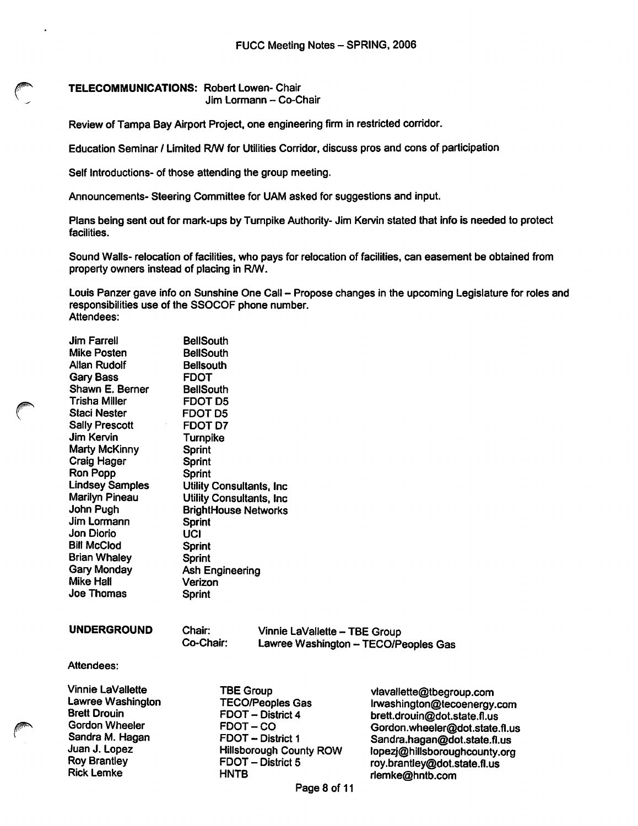TELECOMMUNICATIONS: Robert Lowen- Chair Jim Lormann - Co-Chair

Review of Tampa Bay Airport Project, one engineering firm in restricted corridor.

Education Seminar / Limited R/W for Utilities Corridor, discuss pros and cons of participation

Seif Introductions- of those attending the group meeting.

Announcements- Steering Committee for UAM asked for suggestions and input.

Plans being sent out for mark-ups by Turnpike Authority- Jim Kervin stated that info is needed to protect facilities.

Sound Walls- relocation of facilities, who pays for relocation of facilities, can easement be obtained from property owners instead of placing in R/W.

Louis Panzer gave info on Sunshine One Call - Propose changes in the upcoming Legislature for roles and responsibilities use of the SSOCOF phone number. Attendees:

| <b>Jim Farrell</b><br><b>Mike Posten</b><br><b>Allan Rudolf</b><br><b>Gary Bass</b><br>Shawn E. Berner<br><b>Trisha Miller</b><br><b>Staci Nester</b><br><b>Sally Prescott</b><br>Jim Kervin<br>Marty McKinny<br>Craig Hager<br>Ron Popp<br><b>Lindsey Samples</b><br><b>Marilyn Pineau</b><br>John Pugh<br>Jim Lormann<br>Jon Diorio<br><b>Bill McClod</b><br><b>Brian Whaley</b><br>Gary Monday<br>Mike Hall<br>Joe Thomas | <b>BellSouth</b><br><b>BellSouth</b><br><b>Bellsouth</b><br><b>FDOT</b><br><b>BellSouth</b><br>FDOT D5<br><b>FDOT D5</b><br><b>FDOT D7</b><br>Turnpike<br><b>Sprint</b><br>Sprint<br>Sprint<br><b>Utility Consultants, Inc.</b><br><b>Utility Consultants, Inc.</b><br><b>BrightHouse Networks</b><br><b>Sprint</b><br>UCI<br><b>Sprint</b><br>Sprint<br>Ash Engineering<br>Verizon<br><b>Sprint</b> |                                                                                                                                                                |                                                                                                                                                                                                                            |
|------------------------------------------------------------------------------------------------------------------------------------------------------------------------------------------------------------------------------------------------------------------------------------------------------------------------------------------------------------------------------------------------------------------------------|------------------------------------------------------------------------------------------------------------------------------------------------------------------------------------------------------------------------------------------------------------------------------------------------------------------------------------------------------------------------------------------------------|----------------------------------------------------------------------------------------------------------------------------------------------------------------|----------------------------------------------------------------------------------------------------------------------------------------------------------------------------------------------------------------------------|
| <b>UNDERGROUND</b>                                                                                                                                                                                                                                                                                                                                                                                                           | Chair:<br>Co-Chair:                                                                                                                                                                                                                                                                                                                                                                                  | Vinnie LaVallette - TBE Group                                                                                                                                  | Lawree Washington - TECO/Peoples Gas                                                                                                                                                                                       |
| Attendees:                                                                                                                                                                                                                                                                                                                                                                                                                   |                                                                                                                                                                                                                                                                                                                                                                                                      |                                                                                                                                                                |                                                                                                                                                                                                                            |
| Vinnie LaVallette<br>Lawree Washington<br><b>Brett Drouin</b><br><b>Gordon Wheeler</b><br>Sandra M. Hagan<br>Juan J. Lopez<br><b>Roy Brantley</b>                                                                                                                                                                                                                                                                            |                                                                                                                                                                                                                                                                                                                                                                                                      | <b>TBE Group</b><br><b>TECO/Peoples Gas</b><br>FDOT - District 4<br>FDOT-CO<br><b>FDOT - District 1</b><br><b>Hillsborough County ROW</b><br>FDOT - District 5 | vlavallette@tbegroup.com<br>Irwashington@tecoenergy.com<br>brett.drouin@dot.state.fl.us<br>Gordon.wheeler@dot.state.fl.us<br>Sandra.hagan@dot.state.fl.us<br>lopezj@hillsboroughcounty.org<br>rov.brantlev@dot.state.fl.us |

**HNTB** 

Rick Lemke

roy.brantley@dot.state.fl.us riemke@hntb.com

Page 8 of 11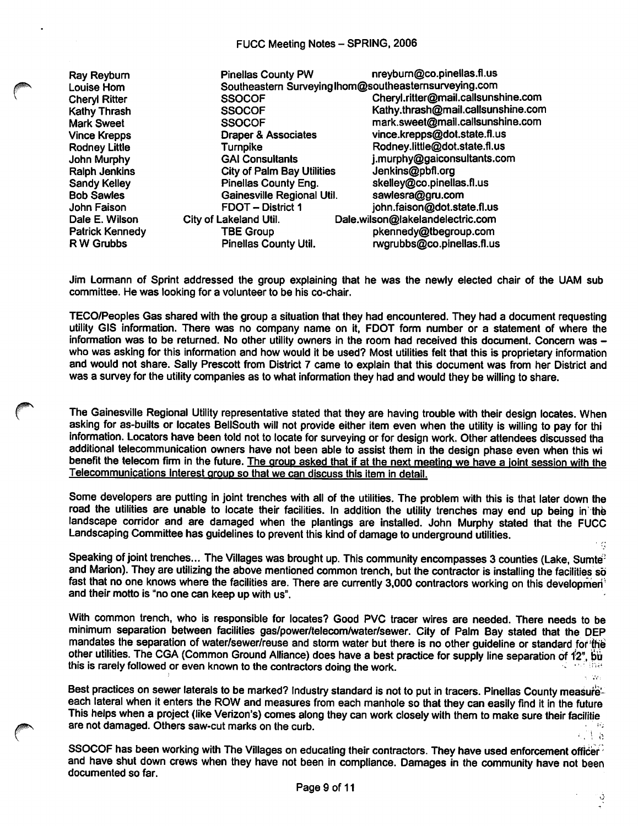### FUCC Meeting Notes - SPRING, 2006

Ray Reybum Louise Horn Cheryl Ritter Kathy Thrash Mark Sweet Vince Krepps Rodney Little John Murphy Ralph Jenkins Sandy Keliey Bob Sawles John Faison Dale E. Wilson Patrick Kennedy R W Grubbs

| <b>Pinellas County PW</b>         | nreyburn@co.pinellas.fl.us                            |
|-----------------------------------|-------------------------------------------------------|
|                                   | Southeastern Surveying Ihom@southeasternsurveying.com |
| <b>SSOCOF</b>                     | Cheryl.ritter@mail.callsunshine.com                   |
| <b>SSOCOF</b>                     | Kathy.thrash@mail.callsunshine.com                    |
| <b>SSOCOF</b>                     | mark.sweet@mail.callsunshine.com                      |
| <b>Draper &amp; Associates</b>    | vince.krepps@dot.state.fl.us                          |
| Turnpike                          | Rodney.little@dot.state.fl.us                         |
| <b>GAI Consultants</b>            | j.murphy@gaiconsultants.com                           |
| <b>City of Palm Bay Utilities</b> | Jenkins@pbfl.org                                      |
| Pinellas County Eng.              | skelley@co.pinellas.fl.us                             |
| Gainesville Regional Util.        | sawlesra@gru.com                                      |
| <b>FDOT - District 1</b>          | john.faison@dot.state.fl.us                           |
| City of Lakeland Util.            | Dale.wilson@lakelandelectric.com                      |
| <b>TBE Group</b>                  | pkennedy@tbegroup.com                                 |
| <b>Pinellas County Util.</b>      | rwgrubbs@co.pinellas.fl.us                            |
|                                   |                                                       |

Jim Lormann of Sprint addressed the group explaining that he was the newly elected chair of the UAM sub committee. He was looking for a volunteer to be his co-chair.

TECO/Peopies Gas shared with the group a situation that they had encountered. They had a document requesting utility GIS information. There was no company name on it, FDOT form number or a statement of where the information was to be returned. No other utility owners in the room had received this document. Concern was who was asking for this information and how would it be used? Most utilities felt that this is proprietary information and would not share. Sally Prescott from District 7 came to explain that this document was from her District and was a survey for the utility companies as to what information they had and would they be willing to share.

The Gainesville Regional Utility representative stated that they are having trouble with their design locates. When asking for as-builts or locates BellSouth will not provide either item even when the utility is willing to pay for thi information. Locators have been told not to locate for surveying or for design work. Other attendees discussed tha additional telecommunication owners have not been able to assist them in the design phase even when this wi benefit the telecom firm in the future. The group asked that if at the next meeting we have a joint session with the Telecommunications Interest group so that we can discuss this item in detail.

Some developers are putting in joint trenches with all of the utilities. The problem with this is that later down the road the utilities are unable to locate their facilities. In addition the utility trenches may end up being in the landscape corridor and are damaged when the plantings are installed. John Murphy stated that the FUCC Landscaping Committee has guidelines to prevent this kind of damage to underground utilities.

Speaking of joint trenches... The Villages was brought up. This community encompasses 3 counties (Lake, Sumte<sup>?</sup> and Marion). They are utilizing the above mentioned common trench, but the contractor is installing the facilities so fast that no one knows where the facilities are. There are currently 3,000 contractors working on this developmen<sup>1</sup> and their motto is "no one can keep up with us".

With common trench, who is responsible for locates? Good PVC tracer wires are needed. There needs to be minimum separation between facilities gas/power/telecom/water/sewer. City of Palm Bay stated that the DEP mandates the separation of water/sewer/reuse and storm water but there is no other quideline or standard for the other utilities. The CGA (Common Ground Alliance) does have a best practice for supply line separation of 12", but this is rarely followed or even known to the contractors doing the work.

Best practices on sewer laterals to be marked? Industry standard is not to put in tracers. Pinellas County measureeach lateral when it enters the ROW and measures from each manhole so that they can easily find it in the future This helps when a project (like Verizon's) comes along they can work closely with them to make sure their facilitie are not damaged. Others saw-cut marks on the curb.  $\Box$  b

SSOCOF has been working with The Villages on educating their contractors. They have used enforcement officer' and have shut down crews when they have not been in compliance. Damages in the community have not been documented so far.

્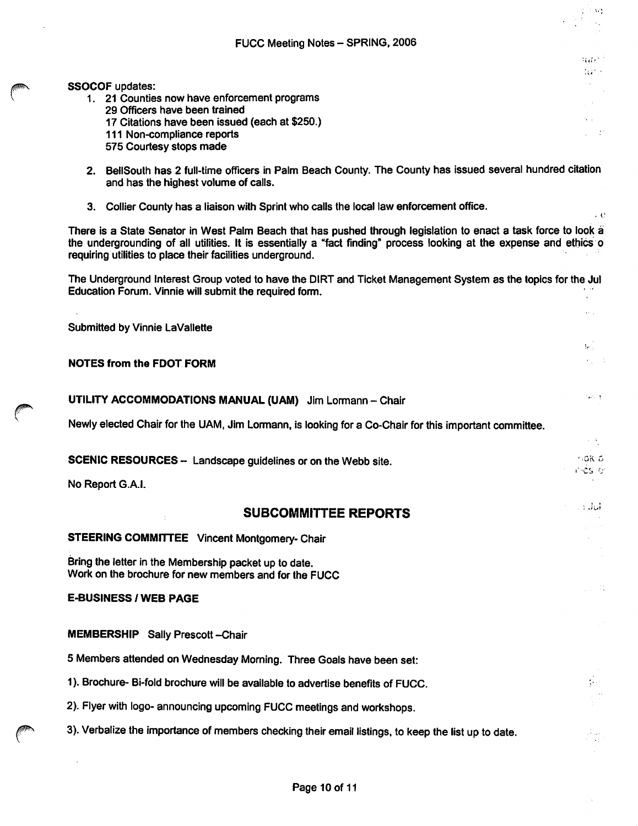### FUCC Meeting Notes - SPRING, 2006

 $\sim 100$  $\sim$ 

> $300\%$ Wind

> > s in

 $\cdot e$ 

 $\mathbf{a}^{(1)}$  ,  $\mathbf{a}^{(1)}$ 

 $\{e_{i,j}\}$ 

والمتما

 $\mathcal{F} \in \mathcal{F}_2$ 

 $\mu$  .

### SSOCOF updates:

- 1. 21 Counties now have enforcement programs 29 Officers have been trained 17 Citations have been issued (each at \$250.) 111 Non-compliance reports 575 Courtesy stops made
- 2. Bellsouth has 2 full-time officers in Palm Beach County. The County has issued several hundred citation and has the highest volume of calls.
- 3. Collier County has a liaison with Sprint who calls the local law enforcement office.

There is a State Senator in West Palm Beach that has pushed through legislation to enact a task force to look a the undergrounding of all utilities. It is essentially a "fact finding" process looking at the expense and ethics o requiring utilities to place their facilities underground.

The Underground Interest Group voted to have the DIRT and Ticket Management System as the topics for the Jul Education Forum. Vinnie will submit the required form.  $\mathbf{v}$ 

Submitted by Vinnie LaVallette

### NOTES from the FOOT FORM

### UTILITY ACCOMMODATIONS MANUAL (UAM) Jim Lormann - Chair

Newly elected Chair for the UAM, Jim Lormann, is looking for a Co-Chair for this important committee.

SCENIC RESOURCES - Landscape guidelines or on the Webb site. **And the SCENIC RESOURCES** -  $\frac{1006.6}{5}$ I' 'Cs ly

No Report G.A.I.

## SUBCOMMITTEE REPORTS

### STEERING COMMITTEE Vincent Montgomery- Chair

Bring the letter in the Membership packet up to date. Work on the brochure for new members and for the FUCC

### E-BUSINESS / WEB PAGE

MEMBERSHIP Sally Prescott-Chair

5 Members attended on Wednesday Morning. Three Goals have been set:

1). Brochure- Bi-fold brochure will be available to advertise benefits of FUCC.

2). Flyer with logo- announcing upcoming FUCC meetings and workshops.

3). Verbalize the importance of members checking their email listings, to keep the list up to date.